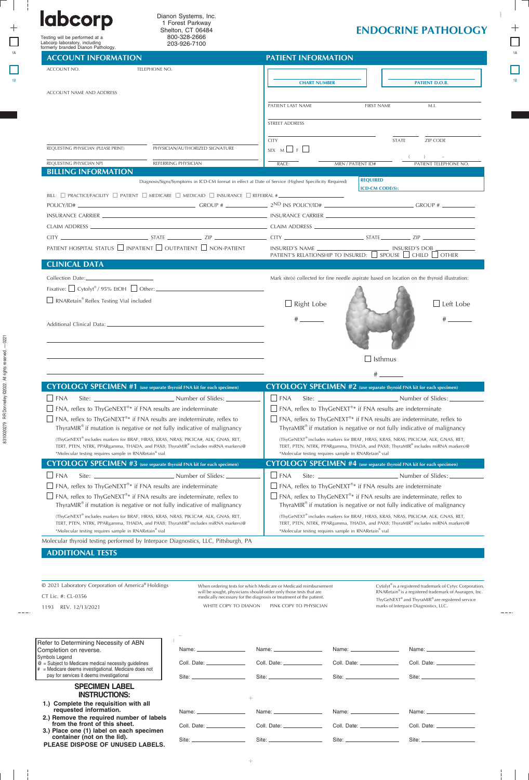| <b>labcorp</b><br>1 Forest Parkway<br>Shelton, CT 06484<br>800-328-2666<br>Testing will be performed at a<br>Labcorp laboratory, including                                                                                                                                         |                                                                                                       |                                                                                                                                                                | <b>ENDOCRINE PATHOLOGY</b>                                                                                                                |                                      |                                                                                                                                            |  |
|------------------------------------------------------------------------------------------------------------------------------------------------------------------------------------------------------------------------------------------------------------------------------------|-------------------------------------------------------------------------------------------------------|----------------------------------------------------------------------------------------------------------------------------------------------------------------|-------------------------------------------------------------------------------------------------------------------------------------------|--------------------------------------|--------------------------------------------------------------------------------------------------------------------------------------------|--|
| formerly branded Dianon Pathology.                                                                                                                                                                                                                                                 | 203-926-7100                                                                                          |                                                                                                                                                                |                                                                                                                                           |                                      |                                                                                                                                            |  |
| <b>ACCOUNT INFORMATION</b>                                                                                                                                                                                                                                                         |                                                                                                       | <b>PATIENT INFORMATION</b>                                                                                                                                     |                                                                                                                                           |                                      |                                                                                                                                            |  |
| ACCOUNT NO.                                                                                                                                                                                                                                                                        | TELEPHONE NO.                                                                                         |                                                                                                                                                                |                                                                                                                                           |                                      |                                                                                                                                            |  |
|                                                                                                                                                                                                                                                                                    |                                                                                                       |                                                                                                                                                                | <b>CHART NUMBER</b>                                                                                                                       |                                      | <b>PATIENT D.O.B.</b>                                                                                                                      |  |
| ACCOUNT NAME AND ADDRESS                                                                                                                                                                                                                                                           |                                                                                                       | PATIENT LAST NAME<br><b>FIRST NAME</b>                                                                                                                         |                                                                                                                                           |                                      |                                                                                                                                            |  |
|                                                                                                                                                                                                                                                                                    |                                                                                                       |                                                                                                                                                                |                                                                                                                                           |                                      | M.I.                                                                                                                                       |  |
|                                                                                                                                                                                                                                                                                    |                                                                                                       | <b>STREET ADDRESS</b>                                                                                                                                          |                                                                                                                                           |                                      |                                                                                                                                            |  |
|                                                                                                                                                                                                                                                                                    |                                                                                                       | <b>CITY</b>                                                                                                                                                    |                                                                                                                                           | STATE                                | ZIP CODE                                                                                                                                   |  |
| REQUESTING PHYSICIAN (PLEASE PRINT)                                                                                                                                                                                                                                                | PHYSICIAN/AUTHORIZED SIGNATURE                                                                        | SEX $M \Box F \Box$                                                                                                                                            |                                                                                                                                           |                                      |                                                                                                                                            |  |
| REQUESTING PHYSICIAN NPI                                                                                                                                                                                                                                                           | REFERRING PHYSICIAN                                                                                   | RACE:                                                                                                                                                          | <b>MRN / PATIENT ID#</b>                                                                                                                  |                                      | PATIENT TELEPHONE NO.                                                                                                                      |  |
| <b>BILLING INFORMATION</b>                                                                                                                                                                                                                                                         | Diagnosis/Signs/Symptoms in ICD-CM format in effect at Date of Service (Highest Specificity Required) |                                                                                                                                                                |                                                                                                                                           | <b>REQUIRED</b>                      |                                                                                                                                            |  |
|                                                                                                                                                                                                                                                                                    |                                                                                                       |                                                                                                                                                                |                                                                                                                                           | <b>ICD-CM CODE(S):</b>               |                                                                                                                                            |  |
| $POLICY/ID#$ GROUP # GROUP # $2^{ND}$ INS $POLICY/ID#$ $CROUP$ # $CROUP$ + $CROUP$ + $CROUP$ + $CROUP$ + $CROUP$ + $CROUP$ + $CROUP$ + $CROUP$ + $CROUP$ + $CROUP$ + $CROUP$ + $CROUP$ + $CROUP$ + $CROUP$ + $CROUP$ + $CROUP$ + $CROUP$ + $CROUP$ + $CROUP$ + $CROUP$ + $CROUP$ + |                                                                                                       |                                                                                                                                                                |                                                                                                                                           |                                      |                                                                                                                                            |  |
|                                                                                                                                                                                                                                                                                    |                                                                                                       |                                                                                                                                                                |                                                                                                                                           |                                      |                                                                                                                                            |  |
|                                                                                                                                                                                                                                                                                    |                                                                                                       |                                                                                                                                                                |                                                                                                                                           |                                      |                                                                                                                                            |  |
|                                                                                                                                                                                                                                                                                    |                                                                                                       |                                                                                                                                                                |                                                                                                                                           |                                      |                                                                                                                                            |  |
| PATIENT HOSPITAL STATUS $\Box$ INPATIENT $\Box$ OUTPATIENT $\Box$ NON-PATIENT                                                                                                                                                                                                      |                                                                                                       | INSURED'S NAME ___________________________________ INSURED'S DOB _______________<br>PATIENT'S RELATIONSHIP TO INSURED: $\Box$ SPOUSE $\Box$ CHILD $\Box$ OTHER |                                                                                                                                           |                                      |                                                                                                                                            |  |
| <b>CLINICAL DATA</b>                                                                                                                                                                                                                                                               |                                                                                                       |                                                                                                                                                                |                                                                                                                                           |                                      |                                                                                                                                            |  |
|                                                                                                                                                                                                                                                                                    |                                                                                                       |                                                                                                                                                                | Mark site(s) collected for fine needle aspirate based on location on the thyroid illustration:                                            |                                      |                                                                                                                                            |  |
| Fixative: $\Box$ Cytolyt®/95% EtOH $\Box$ Other: $\Box$ Other: $\Box$ Other: $\Box$                                                                                                                                                                                                |                                                                                                       |                                                                                                                                                                |                                                                                                                                           |                                      |                                                                                                                                            |  |
| RNARetain® Reflex Testing Vial included                                                                                                                                                                                                                                            |                                                                                                       | $\Box$ Right Lobe                                                                                                                                              |                                                                                                                                           |                                      | $\Box$ Left Lobe                                                                                                                           |  |
|                                                                                                                                                                                                                                                                                    |                                                                                                       |                                                                                                                                                                |                                                                                                                                           |                                      |                                                                                                                                            |  |
|                                                                                                                                                                                                                                                                                    |                                                                                                       |                                                                                                                                                                |                                                                                                                                           |                                      |                                                                                                                                            |  |
|                                                                                                                                                                                                                                                                                    |                                                                                                       |                                                                                                                                                                |                                                                                                                                           |                                      |                                                                                                                                            |  |
|                                                                                                                                                                                                                                                                                    |                                                                                                       |                                                                                                                                                                |                                                                                                                                           |                                      |                                                                                                                                            |  |
|                                                                                                                                                                                                                                                                                    |                                                                                                       |                                                                                                                                                                |                                                                                                                                           | $\Box$ Isthmus                       |                                                                                                                                            |  |
|                                                                                                                                                                                                                                                                                    |                                                                                                       |                                                                                                                                                                |                                                                                                                                           |                                      |                                                                                                                                            |  |
| CYTOLOGY SPECIMEN #1 (use separate thyroid FNA kit for each specimen)                                                                                                                                                                                                              |                                                                                                       |                                                                                                                                                                | CYTOLOGY SPECIMEN #2 (use separate thyroid FNA kit for each specimen)                                                                     |                                      |                                                                                                                                            |  |
| $\Box$ FNA                                                                                                                                                                                                                                                                         |                                                                                                       | $\Box$ FNA                                                                                                                                                     |                                                                                                                                           |                                      |                                                                                                                                            |  |
| $\Box$ FNA, reflex to ThyGeNEXT®* if FNA results are indeterminate<br>$\Box$ FNA, reflex to ThyGeNEXT®* if FNA results are indeterminate, reflex to                                                                                                                                |                                                                                                       | $\Box$ FNA, reflex to ThyGeNEXT®* if FNA results are indeterminate<br>$\Box$ FNA, reflex to ThyGeNEXT®* if FNA results are indeterminate, reflex to            |                                                                                                                                           |                                      |                                                                                                                                            |  |
| ThyraMIR <sup>®</sup> if mutation is negative or not fully indicative of malignancy                                                                                                                                                                                                |                                                                                                       |                                                                                                                                                                | Thyra $MIR^{\circ}$ if mutation is negative or not fully indicative of malignancy                                                         |                                      |                                                                                                                                            |  |
| (ThyGeNEXT® includes markers for BRAF, HRAS, KRAS, NRAS, PIK3CA#, ALK, GNAS, RET,                                                                                                                                                                                                  |                                                                                                       |                                                                                                                                                                | (ThyGeNEXT® includes markers for BRAF, HRAS, KRAS, NRAS, PIK3CA#, ALK, GNAS, RET,                                                         |                                      |                                                                                                                                            |  |
| TERT, PTEN, NTRK, PPARgamma, THADA, and PAX8; ThyraMIR® includes miRNA markers)@<br>*Molecular testing requires sample in RNARetain® vial                                                                                                                                          |                                                                                                       |                                                                                                                                                                | TERT, PTEN, NTRK, PPARgamma, THADA, and PAX8; ThyraMIR® includes miRNA markers)@<br>*Molecular testing requires sample in RNARetain® vial |                                      |                                                                                                                                            |  |
| CYTOLOGY SPECIMEN #3 (use separate thyroid FNA kit for each specimen)                                                                                                                                                                                                              |                                                                                                       |                                                                                                                                                                | CYTOLOGY SPECIMEN #4 (use separate thyroid FNA kit for each specimen)                                                                     |                                      |                                                                                                                                            |  |
| $\Box$ FNA                                                                                                                                                                                                                                                                         |                                                                                                       | $\Box$ FNA                                                                                                                                                     |                                                                                                                                           |                                      |                                                                                                                                            |  |
| $\Box$ FNA, reflex to ThyGeNEXT®* if FNA results are indeterminate                                                                                                                                                                                                                 |                                                                                                       |                                                                                                                                                                | $\Box$ FNA, reflex to ThyGeNEXT®* if FNA results are indeterminate                                                                        |                                      |                                                                                                                                            |  |
| $\Box$ FNA, reflex to ThyGeNEXT®* if FNA results are indeterminate, reflex to                                                                                                                                                                                                      |                                                                                                       | $\Box$ FNA, reflex to ThyGeNEXT®* if FNA results are indeterminate, reflex to<br>ThyraMIR® if mutation is negative or not fully indicative of malignancy       |                                                                                                                                           |                                      |                                                                                                                                            |  |
| ThyraMIR® if mutation is negative or not fully indicative of malignancy<br>(ThyGeNEXT® includes markers for BRAF, HRAS, KRAS, NRAS, PIK3CA#, ALK, GNAS, RET,                                                                                                                       |                                                                                                       |                                                                                                                                                                | (ThyGeNEXT® includes markers for BRAF, HRAS, KRAS, NRAS, PIK3CA#, ALK, GNAS, RET,                                                         |                                      |                                                                                                                                            |  |
| TERT, PTEN, NTRK, PPARgamma, THADA, and PAX8; ThyraMIR® includes miRNA markers)@                                                                                                                                                                                                   |                                                                                                       | TERT, PTEN, NTRK, PPARgamma, THADA, and PAX8; ThyraMIR® includes miRNA markers)@                                                                               |                                                                                                                                           |                                      |                                                                                                                                            |  |
| *Molecular testing requires sample in RNARetain® vial<br>Molecular thyroid testing performed by Interpace Diagnostics, LLC, Pittsburgh, PA                                                                                                                                         |                                                                                                       |                                                                                                                                                                | *Molecular testing requires sample in RNARetain® vial                                                                                     |                                      |                                                                                                                                            |  |
| <b>ADDITIONAL TESTS</b>                                                                                                                                                                                                                                                            |                                                                                                       |                                                                                                                                                                |                                                                                                                                           |                                      |                                                                                                                                            |  |
|                                                                                                                                                                                                                                                                                    |                                                                                                       |                                                                                                                                                                |                                                                                                                                           |                                      |                                                                                                                                            |  |
|                                                                                                                                                                                                                                                                                    |                                                                                                       |                                                                                                                                                                |                                                                                                                                           |                                      |                                                                                                                                            |  |
| © 2021 Laboratory Corporation of America® Holdings                                                                                                                                                                                                                                 |                                                                                                       | When ordering tests for which Medicare or Medicaid reimbursement<br>will be sought, physicians should order only those tests that are                          |                                                                                                                                           |                                      | Cytolyt <sup>®</sup> is a registered trademark of Cytyc Corporation.<br>RNARetain <sup>®</sup> is a registered trademark of Asuragen, Inc. |  |
| CT Lic. #: CL-0356                                                                                                                                                                                                                                                                 | WHITE COPY TO DIANON                                                                                  | medically necessary for the diagnosis or treatment of the patient.                                                                                             |                                                                                                                                           |                                      | ThyGeNEXT <sup>®</sup> and ThyraMIR <sup>®</sup> are registered service                                                                    |  |
| 1193 REV. 12/13/2021                                                                                                                                                                                                                                                               |                                                                                                       | PINK COPY TO PHYSICIAN                                                                                                                                         |                                                                                                                                           | marks of Interpace Diagnostics, LLC. |                                                                                                                                            |  |
|                                                                                                                                                                                                                                                                                    |                                                                                                       |                                                                                                                                                                |                                                                                                                                           |                                      |                                                                                                                                            |  |
| Refer to Determining Necessity of ABN                                                                                                                                                                                                                                              |                                                                                                       |                                                                                                                                                                |                                                                                                                                           |                                      |                                                                                                                                            |  |
|                                                                                                                                                                                                                                                                                    |                                                                                                       | Name: ________________________                                                                                                                                 |                                                                                                                                           |                                      |                                                                                                                                            |  |
|                                                                                                                                                                                                                                                                                    |                                                                                                       |                                                                                                                                                                |                                                                                                                                           |                                      |                                                                                                                                            |  |
| Completion on reverse.<br>Symbols Legend<br>$@ =$ Subject to Medicare medical necessity guidelines<br># = Medicare deems investigational. Medicare does not                                                                                                                        | Coll. Date: _______________                                                                           | Coll. Date: ______________                                                                                                                                     | Coll. Date: ________________                                                                                                              |                                      | Coll. Date: _______________                                                                                                                |  |

**1.) Complete the requisition with all requested information.**

**2.) Remove the required number of labels**

**from the front of this sheet.**

Name: \_ Coll. Date:

Site: \_

**3.) Place one (1) label on each specimen container (not on the lid).**

**PLEASE DISPOSE OF UNUSED LABELS.**

|                 | Coll. Date: ________________ | Coll. Date: ____ |
|-----------------|------------------------------|------------------|
|                 |                              |                  |
| <b>Contract</b> |                              |                  |
|                 |                              |                  |
| $+$             |                              |                  |
|                 | Name: ___________________    | Name: $\_\_$     |
|                 |                              |                  |
|                 | Coll. Date: _______________  | Coll. Date: ____ |

Site:

Name: \_ Coll. Date: \_\_

Site:

Site:

 $\frac{1}{2}$ 

 $\frac{1}{2}$   $\frac{1}{2}$ 

 $\mathbb{I}$ 

 $\qquad \qquad +$ 

 $\Box$ 

 $\Box$ 

 $-1 - 1$ 

Ξ  $\frac{1}{2}$ 

 $\qquad \qquad +$